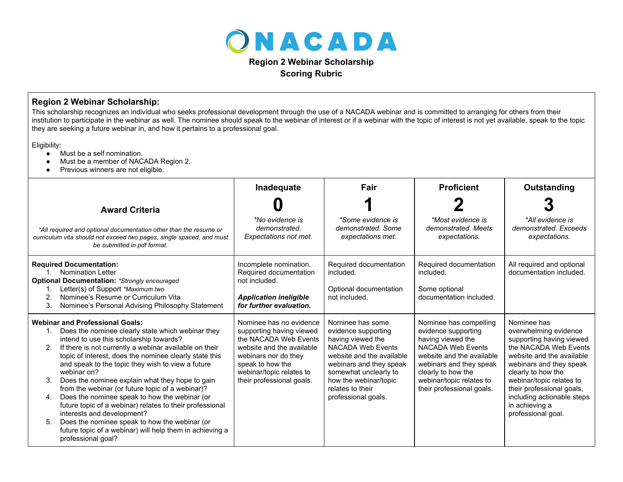

## **Region 2 Webinar Scholarship Scoring Rubric**

## **Region 2 Webinar Scholarship:**

This scholarship recognizes an individual who seeks professional development through the use of a NACADA webinar and is committed to arranging for others from their institution to participate in the webinar as well. The nominee should speak to the webinar of interest or if a webinar with the topic of interest is not yet available, speak to the topic they are seeking a future webinar in, and how it pertains to a professional goal.

Eligibility:

- Must be a self nomination.
- Must be a member of NACADA Region 2.
- Previous winners are not eligible.

|                                                                                                                                                                                                                                                                                                                                                                                                                                                                                                                                                                                                                                                                                                                                                               | Inadequate                                                                                                                                                                                                     | Fair                                                                                                                                                                                                                                   | <b>Proficient</b>                                                                                                                                                                                                                     | Outstanding                                                                                                                                                                                                                                                                                            |
|---------------------------------------------------------------------------------------------------------------------------------------------------------------------------------------------------------------------------------------------------------------------------------------------------------------------------------------------------------------------------------------------------------------------------------------------------------------------------------------------------------------------------------------------------------------------------------------------------------------------------------------------------------------------------------------------------------------------------------------------------------------|----------------------------------------------------------------------------------------------------------------------------------------------------------------------------------------------------------------|----------------------------------------------------------------------------------------------------------------------------------------------------------------------------------------------------------------------------------------|---------------------------------------------------------------------------------------------------------------------------------------------------------------------------------------------------------------------------------------|--------------------------------------------------------------------------------------------------------------------------------------------------------------------------------------------------------------------------------------------------------------------------------------------------------|
| <b>Award Criteria</b>                                                                                                                                                                                                                                                                                                                                                                                                                                                                                                                                                                                                                                                                                                                                         |                                                                                                                                                                                                                |                                                                                                                                                                                                                                        |                                                                                                                                                                                                                                       |                                                                                                                                                                                                                                                                                                        |
| *All required and optional documentation other than the resume or<br>curriculum vita should not exceed two pages, single spaced, and must<br>be submitted in pdf format.                                                                                                                                                                                                                                                                                                                                                                                                                                                                                                                                                                                      | *No evidence is<br>demonstrated.<br>Expectations not met.                                                                                                                                                      | *Some evidence is<br>demonstrated. Some<br>expectations met.                                                                                                                                                                           | *Most evidence is<br>demonstrated. Meets<br>expectations.                                                                                                                                                                             | *All evidence is<br>demonstrated. Exceeds<br>expectations.                                                                                                                                                                                                                                             |
| <b>Required Documentation:</b><br><b>Nomination Letter</b><br><b>Optional Documentation: *Strongly encouraged</b><br>Letter(s) of Support *Maximum two<br>Nominee's Resume or Curriculum Vita<br>2<br>3.<br>Nominee's Personal Advising Philosophy Statement                                                                                                                                                                                                                                                                                                                                                                                                                                                                                                  | Incomplete nomination.<br>Required documentation<br>not included.<br><b>Application ineligible</b><br>for further evaluation.                                                                                  | Required documentation<br>included.<br>Optional documentation<br>not included.                                                                                                                                                         | Required documentation<br>included.<br>Some optional<br>documentation included.                                                                                                                                                       | All required and optional<br>documentation included.                                                                                                                                                                                                                                                   |
| <b>Webinar and Professional Goals:</b><br>Does the nominee clearly state which webinar they<br>1.<br>intend to use this scholarship towards?<br>If there is not currently a webinar available on their<br>2 <sub>1</sub><br>topic of interest, does the nominee clearly state this<br>and speak to the topic they wish to view a future<br>webinar on?<br>Does the nominee explain what they hope to gain<br>3.<br>from the webinar (or future topic of a webinar)?<br>Does the nominee speak to how the webinar (or<br>4.<br>future topic of a webinar) relates to their professional<br>interests and development?<br>Does the nominee speak to how the webinar (or<br>5.<br>future topic of a webinar) will help them in achieving a<br>professional goal? | Nominee has no evidence<br>supporting having viewed<br>the NACADA Web Events<br>website and the available<br>webinars nor do they<br>speak to how the<br>webinar/topic relates to<br>their professional goals. | Nominee has some<br>evidence supporting<br>having viewed the<br>NACADA Web Events<br>website and the available<br>webinars and they speak<br>somewhat unclearly to<br>how the webinar/topic<br>relates to their<br>professional goals. | Nominee has compelling<br>evidence supporting<br>having viewed the<br><b>NACADA Web Events</b><br>website and the available<br>webinars and they speak<br>clearly to how the<br>webinar/topic relates to<br>their professional goals. | Nominee has<br>overwhelming evidence<br>supporting having viewed<br>the NACADA Web Events<br>website and the available<br>webinars and they speak<br>clearly to how the<br>webinar/topic relates to<br>their professional goals,<br>including actionable steps<br>in achieving a<br>professional goal. |